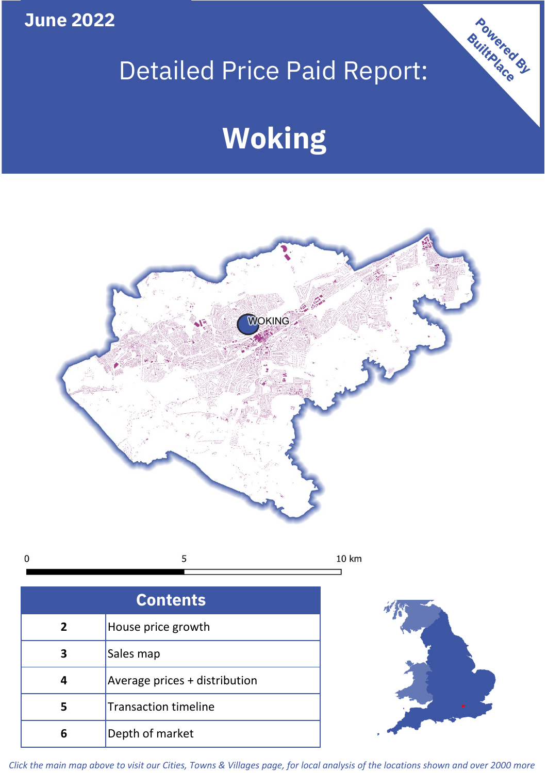**June 2022**

## Detailed Price Paid Report:

# **Woking**



 $\mathbf 0$ 5 10 km

| <b>Contents</b> |                               |  |  |  |
|-----------------|-------------------------------|--|--|--|
| $\overline{2}$  | House price growth            |  |  |  |
|                 | Sales map                     |  |  |  |
|                 | Average prices + distribution |  |  |  |
|                 | <b>Transaction timeline</b>   |  |  |  |
| 6               | Depth of market               |  |  |  |



Powered By

*Click the main map above to visit our Cities, Towns & Villages page, for local analysis of the locations shown and over 2000 more*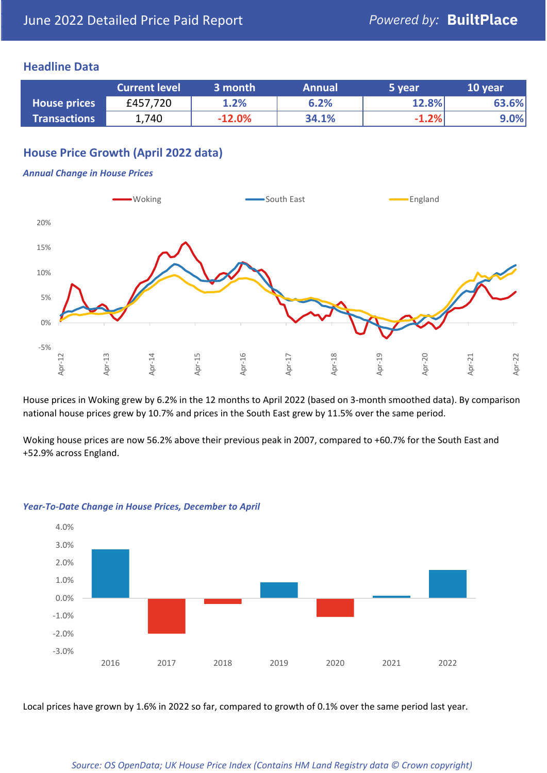## **Headline Data**

|                     | <b>Current level</b> | 3 month  | <b>Annual</b> | 5 year  | 10 year |
|---------------------|----------------------|----------|---------------|---------|---------|
| <b>House prices</b> | £457,720             | 1.2%     | 6.2%          | 12.8%   | 63.6%   |
| <b>Transactions</b> | 1,740                | $-12.0%$ | 34.1%         | $-1.2%$ | $9.0\%$ |

## **House Price Growth (April 2022 data)**

#### *Annual Change in House Prices*



House prices in Woking grew by 6.2% in the 12 months to April 2022 (based on 3-month smoothed data). By comparison national house prices grew by 10.7% and prices in the South East grew by 11.5% over the same period.

Woking house prices are now 56.2% above their previous peak in 2007, compared to +60.7% for the South East and +52.9% across England.



#### *Year-To-Date Change in House Prices, December to April*

Local prices have grown by 1.6% in 2022 so far, compared to growth of 0.1% over the same period last year.

#### *Source: OS OpenData; UK House Price Index (Contains HM Land Registry data © Crown copyright)*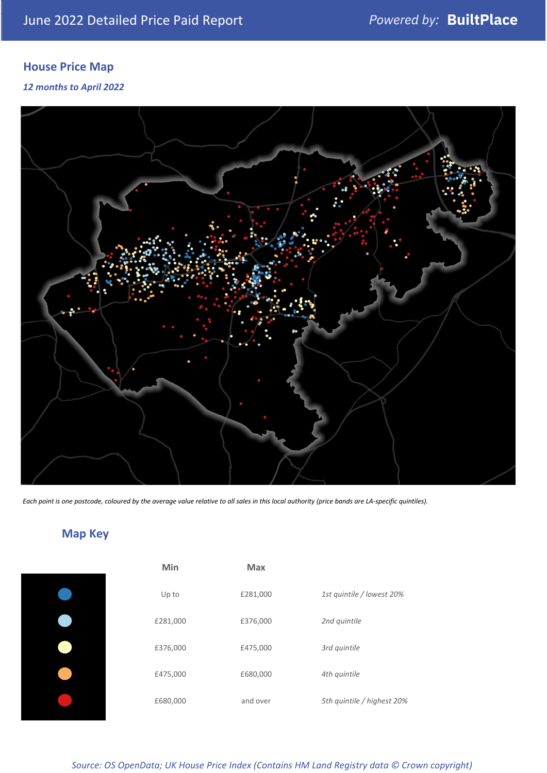## **House Price Map**

### *12 months to April 2022*



*Each point is one postcode, coloured by the average value relative to all sales in this local authority (price bands are LA-specific quintiles).*

## **Map Key**

| Min      | Max      |                            |
|----------|----------|----------------------------|
| Up to    | £281,000 | 1st quintile / lowest 20%  |
| £281,000 | £376,000 | 2nd quintile               |
| £376,000 | £475,000 | 3rd quintile               |
| £475,000 | £680,000 | 4th quintile               |
| £680,000 | and over | 5th quintile / highest 20% |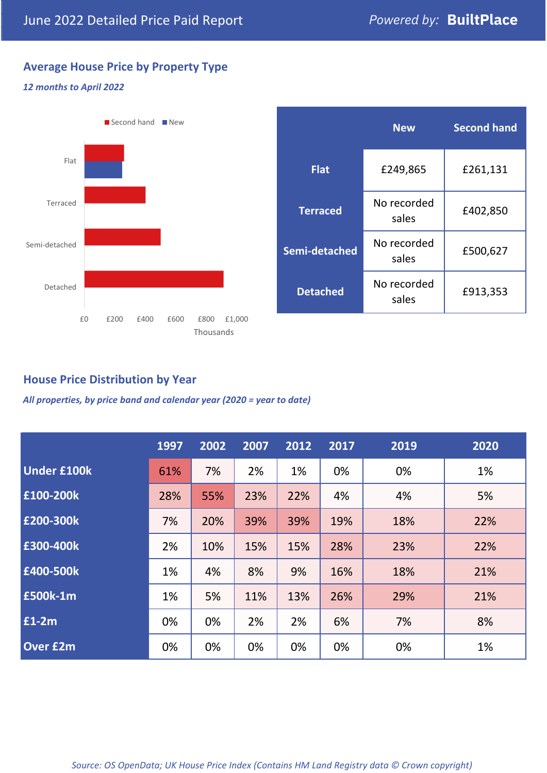## **Average House Price by Property Type**

### *12 months to April 2022*



|                 | <b>New</b>           | <b>Second hand</b> |  |  |
|-----------------|----------------------|--------------------|--|--|
| <b>Flat</b>     | £249,865             | £261,131           |  |  |
| <b>Terraced</b> | No recorded<br>sales | £402,850           |  |  |
| Semi-detached   | No recorded<br>sales | £500,627           |  |  |
| <b>Detached</b> | No recorded<br>sales | £913,353           |  |  |

## **House Price Distribution by Year**

*All properties, by price band and calendar year (2020 = year to date)*

|                    | 1997 | 2002 | 2007 | 2012 | 2017 | 2019 | 2020 |
|--------------------|------|------|------|------|------|------|------|
| <b>Under £100k</b> | 61%  | 7%   | 2%   | 1%   | 0%   | 0%   | 1%   |
| £100-200k          | 28%  | 55%  | 23%  | 22%  | 4%   | 4%   | 5%   |
| E200-300k          | 7%   | 20%  | 39%  | 39%  | 19%  | 18%  | 22%  |
| £300-400k          | 2%   | 10%  | 15%  | 15%  | 28%  | 23%  | 22%  |
| £400-500k          | 1%   | 4%   | 8%   | 9%   | 16%  | 18%  | 21%  |
| £500k-1m           | 1%   | 5%   | 11%  | 13%  | 26%  | 29%  | 21%  |
| £1-2m              | 0%   | 0%   | 2%   | 2%   | 6%   | 7%   | 8%   |
| <b>Over £2m</b>    | 0%   | 0%   | 0%   | 0%   | 0%   | 0%   | 1%   |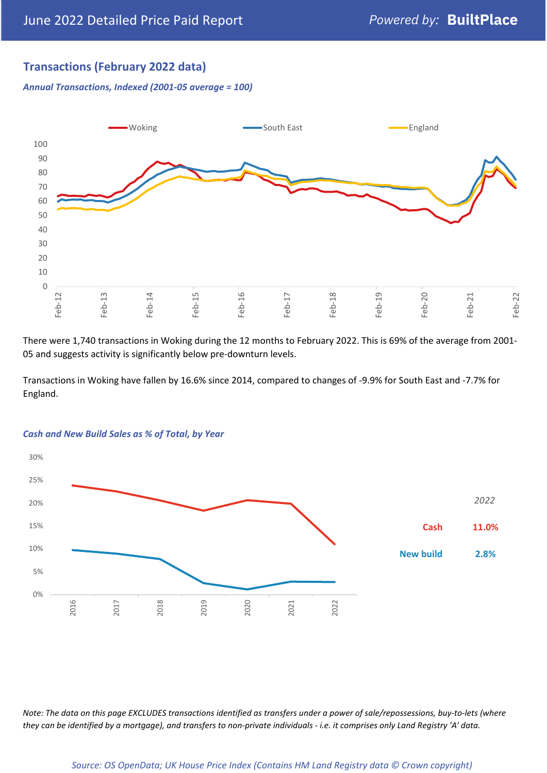## **Transactions (February 2022 data)**

*Annual Transactions, Indexed (2001-05 average = 100)*



There were 1,740 transactions in Woking during the 12 months to February 2022. This is 69% of the average from 2001- 05 and suggests activity is significantly below pre-downturn levels.

Transactions in Woking have fallen by 16.6% since 2014, compared to changes of -9.9% for South East and -7.7% for England.



#### *Cash and New Build Sales as % of Total, by Year*

*Note: The data on this page EXCLUDES transactions identified as transfers under a power of sale/repossessions, buy-to-lets (where they can be identified by a mortgage), and transfers to non-private individuals - i.e. it comprises only Land Registry 'A' data.*